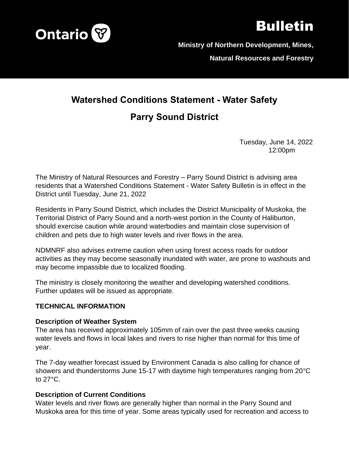

# Bulletin

**Ministry of Northern Development, Mines,** 

**Natural Resources and Forestry**

# **Watershed Conditions Statement - Water Safety**

## **Parry Sound District**

Tuesday, June 14, 2022 12:00pm

The Ministry of Natural Resources and Forestry – Parry Sound District is advising area residents that a Watershed Conditions Statement - Water Safety Bulletin is in effect in the District until Tuesday, June 21, 2022

Residents in Parry Sound District, which includes the District Municipality of Muskoka, the Territorial District of Parry Sound and a north-west portion in the County of Haliburton, should exercise caution while around waterbodies and maintain close supervision of children and pets due to high water levels and river flows in the area.

NDMNRF also advises extreme caution when using forest access roads for outdoor activities as they may become seasonally inundated with water, are prone to washouts and may become impassible due to localized flooding.

The ministry is closely monitoring the weather and developing watershed conditions. Further updates will be issued as appropriate.

#### **TECHNICAL INFORMATION**

#### **Description of Weather System**

The area has received approximately 105mm of rain over the past three weeks causing water levels and flows in local lakes and rivers to rise higher than normal for this time of year.

The 7-day weather forecast issued by Environment Canada is also calling for chance of showers and thunderstorms June 15-17 with daytime high temperatures ranging from 20°C to 27°C.

#### **Description of Current Conditions**

Water levels and river flows are generally higher than normal in the Parry Sound and Muskoka area for this time of year. Some areas typically used for recreation and access to